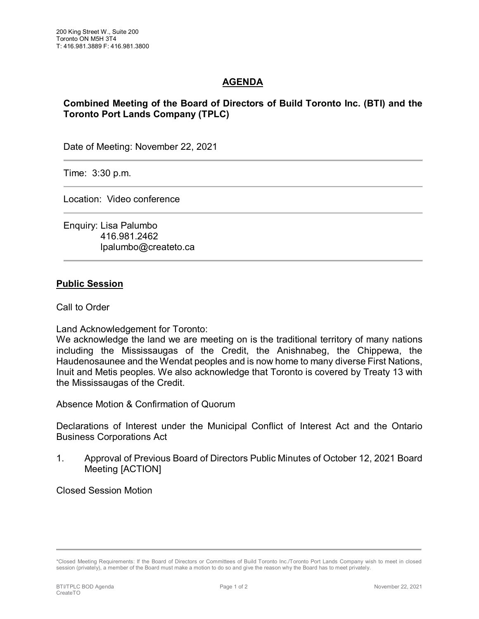## **AGENDA**

## **Combined Meeting of the Board of Directors of Build Toronto Inc. (BTI) and the Toronto Port Lands Company (TPLC)**

Date of Meeting: November 22, 2021

Time: 3:30 p.m.

Location: Video conference

Enquiry: Lisa Palumbo 416.981.2462 lpalumbo@createto.ca

## **Public Session**

Call to Order

Land Acknowledgement for Toronto:

We acknowledge the land we are meeting on is the traditional territory of many nations including the Mississaugas of the Credit, the Anishnabeg, the Chippewa, the Haudenosaunee and the Wendat peoples and is now home to many diverse First Nations, Inuit and Metis peoples. We also acknowledge that Toronto is covered by Treaty 13 with the Mississaugas of the Credit.

Absence Motion & Confirmation of Quorum

Declarations of Interest under the Municipal Conflict of Interest Act and the Ontario Business Corporations Act

1. Approval of Previous Board of Directors Public Minutes of October 12, 2021 Board Meeting [ACTION]

Closed Session Motion

<sup>\*</sup>Closed Meeting Requirements: If the Board of Directors or Committees of Build Toronto Inc./Toronto Port Lands Company wish to meet in closed session (privately), a member of the Board must make a motion to do so and give the reason why the Board has to meet privately.